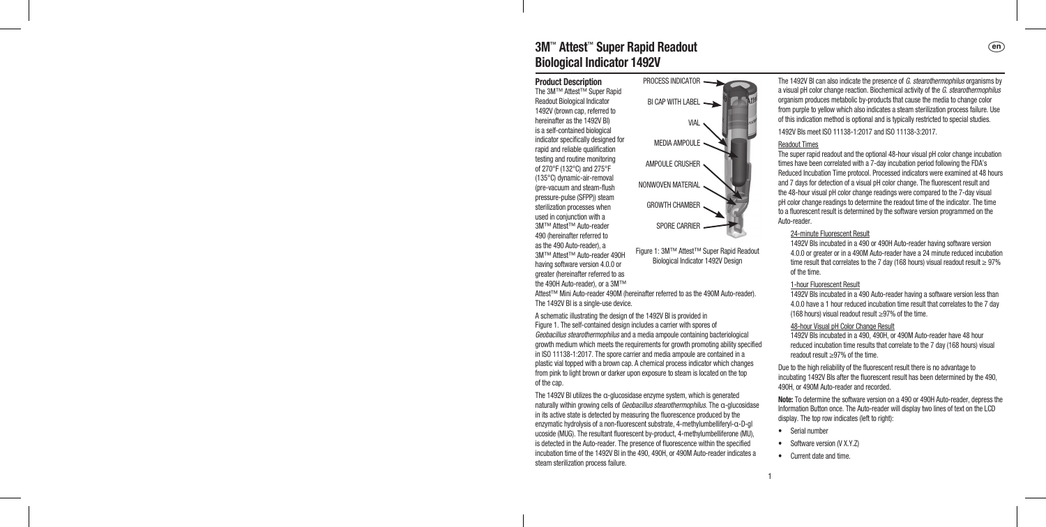# 3M™ Attest™ Super Rapid Readout a Biological Indicator 1492V

Product Description The 3M™ Attest™ Super Rapid Readout Biological Indicator 1492V (brown cap, referred to hereinafter as the 1492V BI) is a self‑contained biological indicator specifically designed for rapid and reliable qualification testing and routine monitoring of 270°F (132°C) and 275°F (135°C) dynamic‑air‑removal (pre‑vacuum and steam‑flush pressure‑pulse (SFPP)) steam sterilization processes when used in conjunction with a 3M™ Attest™ Auto‑reader 490 (hereinafter referred to as the 490 Auto‑reader), a 3M™ Attest™ Auto‑reader 490H having software version 4.0.0 or greater (hereinafter referred to as the 490H Auto‑reader), or a 3M™ PROCESS INDICATOR BI CAP WITH LABEL AMPOULE CRUSHER NONWOVEN MATERIAL GROWTH CHAMBER Figure 1: 3M™ Attest™ Super Rapid Readout

Attest™ Mini Auto-reader 490M (hereinafter referred to as the 490M Auto-reader). The 1492V BI is a single-use device.

VIAL MEDIA AMPOULE

SPORE CARRIER

Biological Indicator 1492V Design

A schematic illustrating the design of the 1492V BI is provided in Figure 1. The self-contained design includes a carrier with spores of Geobacillus stearothermophilus and a media ampoule containing bacteriological growth medium which meets the requirements for growth promoting ability specified in ISO 11138-1:2017. The spore carrier and media ampoule are contained in a plastic vial topped with a brown cap. A chemical process indicator which changes from pink to light brown or darker upon exposure to steam is located on the top of the cap.

The 1492V BI utilizes the α‑glucosidase enzyme system, which is generated naturally within growing cells of Geobacillus stearothermophilus. The α-glucosidase in its active state is detected by measuring the fluorescence produced by the enzymatic hydrolysis of a non‑fluorescent substrate, 4‑methylumbelliferyl‑α‑D‑gl ucoside (MUG). The resultant fluorescent by‑product, 4‑methylumbelliferone (MU), is detected in the Auto-reader. The presence of fluorescence within the specified incubation time of the 1492V BI in the 490, 490H, or 490M Auto-reader indicates a steam sterilization process failure.

The 1492V BI can also indicate the presence of G. stearothermophilus organisms by a visual pH color change reaction. Biochemical activity of the G. stearothermophilus organism produces metabolic by‑products that cause the media to change color from purple to yellow which also indicates a steam sterilization process failure. Use of this indication method is optional and is typically restricted to special studies. 1492V BIs meet ISO 11138‑1:2017 and ISO 11138‑3:2017.

Readout Times

The super rapid readout and the optional 48‑hour visual pH color change incubation times have been correlated with a 7‑day incubation period following the FDA's Reduced Incubation Time protocol. Processed indicators were examined at 48 hours and 7 days for detection of a visual pH color change. The fluorescent result and the 48‑hour visual pH color change readings were compared to the 7‑day visual pH color change readings to determine the readout time of the indicator. The time to a fluorescent result is determined by the software version programmed on the Auto‑reader.

#### 24‑minute Fluorescent Result

1492V BIs incubated in a 490 or 490H Auto-reader having software version 4.0.0 or greater or in a 490M Auto-reader have a 24 minute reduced incubation time result that correlates to the 7 day (168 hours) visual readout result  $\geq 97\%$ of the time.

## 1-hour Fluorescent Result

1492V BIs incubated in a 490 Auto-reader having a software version less than 4.0.0 have a 1 hour reduced incubation time result that correlates to the 7 day (168 hours) visual readout result ≥97% of the time.

### 48‑hour Visual pH Color Change Result

1492V BIs incubated in a 490, 490H, or 490M Auto-reader have 48 hour reduced incubation time results that correlate to the 7 day (168 hours) visual readout result ≥97% of the time.

Due to the high reliability of the fluorescent result there is no advantage to incubating 1492V BIs after the fluorescent result has been determined by the 490, 490H, or 490M Auto-reader and recorded.

Note: To determine the software version on a 490 or 490H Auto-reader, depress the Information Button once. The Auto-reader will display two lines of text on the LCD display. The top row indicates (left to right):

- Serial number
- Software version (V X.Y.Z)
- Current date and time.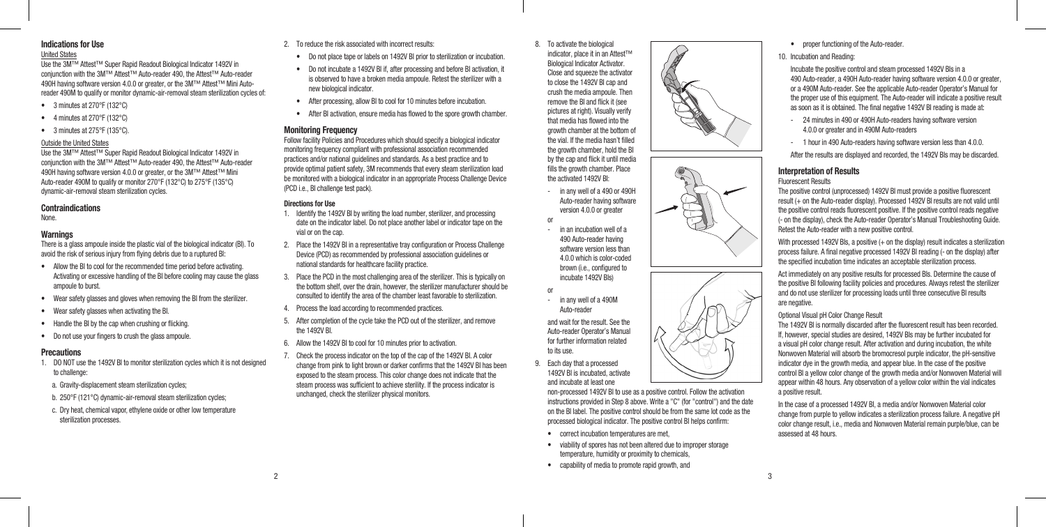# Indications for Use

## United States

Use the 3M™ Attest™ Super Rapid Readout Biological Indicator 1492V in conjunction with the 3M™ Attest™ Auto‑reader 490, the Attest™ Auto‑reader 490H having software version 4.0.0 or greater, or the 3M™ Attest™ Mini Autoreader 490M to qualify or monitor dynamic-air-removal steam sterilization cycles of:

- 3 minutes at 270°F (132°C)
- 4 minutes at 270°F (132°C)
- 3 minutes at  $275^{\circ}$ F (135 $^{\circ}$ C).

### Outside the United States

Use the 3M™ Attest™ Super Rapid Readout Biological Indicator 1492V in conjunction with the 3M™ Attest™ Auto‑reader 490, the Attest™ Auto‑reader 490H having software version 4.0.0 or greater, or the 3M™ Attest™ Mini Auto-reader 490M to qualify or monitor 270°F (132°C) to 275°F (135°C) dynamic‑air‑removal steam sterilization cycles.

### **Contraindications**

None.

## **Warnings**

There is a glass ampoule inside the plastic vial of the biological indicator (BI). To avoid the risk of serious injury from flying debris due to a ruptured BI:

- Allow the BI to cool for the recommended time period before activating. Activating or excessive handling of the BI before cooling may cause the glass ampoule to burst.
- Wear safety glasses and gloves when removing the BI from the sterilizer.
- Wear safety glasses when activating the BI.
- Handle the BI by the cap when crushing or flicking.
- Do not use your fingers to crush the glass ampoule.

### **Precautions**

- 1. DO NOT use the 1492V BI to monitor sterilization cycles which it is not designed to challenge:
- a. Gravity-displacement steam sterilization cycles:
- b. 250°F (121°C) dynamic-air-removal steam sterilization cycles:
- c. Dry heat, chemical vapor, ethylene oxide or other low temperature sterilization processes.
- 2. To reduce the risk associated with incorrect results:
	- Do not place tape or labels on 1492V BI prior to sterilization or incubation.
	- Do not incubate a 1492V BI if, after processing and before BI activation, it is observed to have a broken media ampoule. Retest the sterilizer with a new biological indicator.
	- After processing, allow BI to cool for 10 minutes before incubation.
	- After BI activation, ensure media has flowed to the spore growth chamber.

## **Monitoring Frequency**

Follow facility Policies and Procedures which should specify a biological indicator monitoring frequency compliant with professional association recommended practices and/or national guidelines and standards. As a best practice and to provide optimal patient safety, 3M recommends that every steam sterilization load be monitored with a biological indicator in an appropriate Process Challenge Device (PCD i.e., BI challenge test pack).

## Directions for Use

- 1. Identify the 1492V BI by writing the load number, sterilizer, and processing date on the indicator label. Do not place another label or indicator tape on the vial or on the cap.
- 2. Place the 1492V BI in a representative tray configuration or Process Challenge Device (PCD) as recommended by professional association guidelines or national standards for healthcare facility practice.
- 3. Place the PCD in the most challenging area of the sterilizer. This is typically on the bottom shelf, over the drain, however, the sterilizer manufacturer should be consulted to identify the area of the chamber least favorable to sterilization.
- 4. Process the load according to recommended practices.
- 5. After completion of the cycle take the PCD out of the sterilizer, and remove the 1492V BI.
- 6. Allow the 1492V BI to cool for 10 minutes prior to activation.
- 7. Check the process indicator on the top of the cap of the 1492V BI. A color change from pink to light brown or darker confirms that the 1492V BI has been exposed to the steam process. This color change does not indicate that the steam process was sufficient to achieve sterility. If the process indicator is unchanged, check the sterilizer physical monitors.

8. To activate the biological indicator, place it in an Attest™ Biological Indicator Activator. Close and squeeze the activator to close the 1492V BI cap and crush the media ampoule. Then remove the BI and flick it (see pictures at right). Visually verify that media has flowed into the growth chamber at the bottom of the vial. If the media hasn't filled the growth chamber, hold the BI by the cap and flick it until media fills the growth chamber. Place the activated 1492V BI:

- in any well of a 490 or 490H Auto‑reader having software version 4.0.0 or greater or
- in an incubation well of a 490 Auto‑reader having software version less than 4.0.0 which is color‑coded brown (i.e., configured to incubate 1492V BIs)
- or - in any well of a 490M Auto-reader

and wait for the result. See the Auto‑reader Operator's Manual for further information related to its use.

9. Each day that a processed 1492V BI is incubated, activate and incubate at least one

> non‑processed 1492V BI to use as a positive control. Follow the activation instructions provided in Step 8 above. Write a "C" (for "control") and the date on the BI label. The positive control should be from the same lot code as the processed biological indicator. The positive control BI helps confirm:

- correct incubation temperatures are met,
- viability of spores has not been altered due to improper storage temperature, humidity or proximity to chemicals,
- capability of media to promote rapid growth, and



10. Incubation and Reading:

Incubate the positive control and steam processed 1492V BIs in a 490 Auto-reader, a 490H Auto-reader having software version 4.0.0 or greater. or a 490M Auto-reader. See the applicable Auto-reader Operator's Manual for the proper use of this equipment. The Auto-reader will indicate a positive result as soon as it is obtained. The final negative 1492V BI reading is made at:

- 24 minutes in 490 or 490H Auto-readers having software version 4.0.0 or greater and in 490M Auto-readers
- 1 hour in 490 Auto-readers having software version less than 4.0.0.

After the results are displayed and recorded, the 1492V BIs may be discarded.

## Interpretation of Results

### Fluorescent Results

The positive control (unprocessed) 1492V BI must provide a positive fluorescent result (+ on the Auto-reader display). Processed 1492V BI results are not valid until the positive control reads fluorescent positive. If the positive control reads negative (‑ on the display), check the Auto‑reader Operator's Manual Troubleshooting Guide. Retest the Auto‑reader with a new positive control.

With processed 1492V Bls, a positive (+ on the display) result indicates a sterilization process failure. A final negative processed 1492V BI reading (‑ on the display) after the specified incubation time indicates an acceptable sterilization process.

Act immediately on any positive results for processed BIs. Determine the cause of the positive BI following facility policies and procedures. Always retest the sterilizer and do not use sterilizer for processing loads until three consecutive BI results are negative.

## Optional Visual pH Color Change Result

The 1492V BI is normally discarded after the fluorescent result has been recorded. If, however, special studies are desired, 1492V BIs may be further incubated for a visual pH color change result. After activation and during incubation, the white Nonwoven Material will absorb the bromocresol purple indicator, the pH-sensitive indicator dye in the growth media, and appear blue. In the case of the positive control BI a yellow color change of the growth media and/or Nonwoven Material will appear within 48 hours. Any observation of a yellow color within the vial indicates a positive result.

In the case of a processed 1492V BI, a media and/or Nonwoven Material color change from purple to yellow indicates a sterilization process failure. A negative pH color change result, i.e., media and Nonwoven Material remain purple/blue, can be assessed at 48 hours.

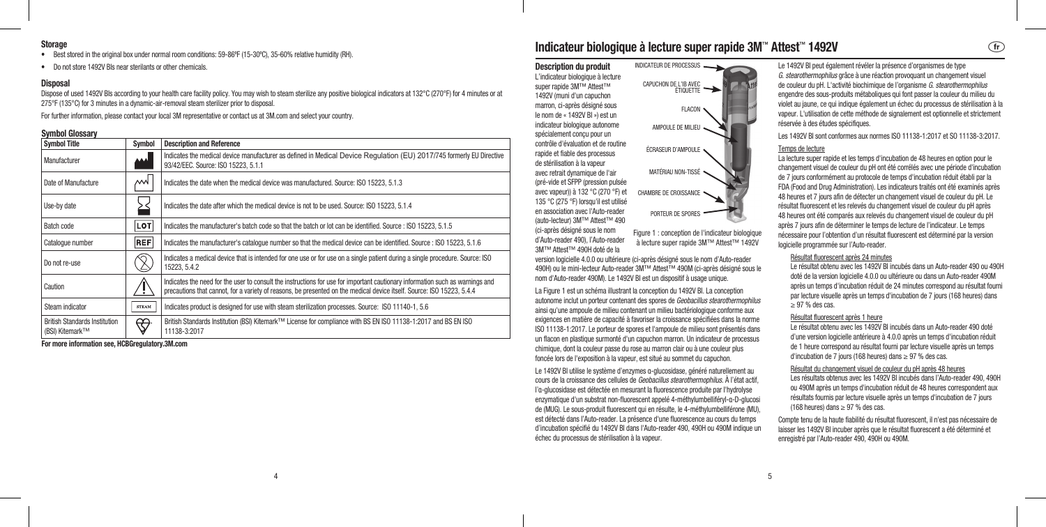## **Storage**

- Best stored in the original box under normal room conditions: 59-86°F (15-30°C), 35-60% relative humidity (RH).
- Do not store 1492V BIs near sterilants or other chemicals.

## **Disposal**

Dispose of used 1492V BIs according to your health care facility policy. You may wish to steam sterilize any positive biological indicators at 132°C (270°F) for 4 minutes or at 275°F (135°C) for 3 minutes in a dynamic‑air‑removal steam sterilizer prior to disposal.

For further information, please contact your local 3M representative or contact us at 3M.com and select your country.

## Symbol Glossary

| <b>Symbol Title</b>                                     | Symbol       | <b>Description and Reference</b>                                                                                                                                                                                                                        |
|---------------------------------------------------------|--------------|---------------------------------------------------------------------------------------------------------------------------------------------------------------------------------------------------------------------------------------------------------|
| Manufacturer                                            | الممم        | Indicates the medical device manufacturer as defined in Medical Device Regulation (EU) 2017/745 formerly EU Directive<br>93/42/EEC. Source: ISO 15223, 5.1.1                                                                                            |
| Date of Manufacture                                     | МW           | Indicates the date when the medical device was manufactured. Source: ISO 15223, 5.1.3                                                                                                                                                                   |
| Use-by date                                             |              | Indicates the date after which the medical device is not to be used. Source: ISO 15223, 5.1.4                                                                                                                                                           |
| Batch code                                              | LOT          | Indicates the manufacturer's batch code so that the batch or lot can be identified. Source: ISO 15223, 5.1.5                                                                                                                                            |
| Catalogue number                                        | <b>REF</b>   | Indicates the manufacturer's catalogue number so that the medical device can be identified. Source: ISO 15223, 5.1.6                                                                                                                                    |
| Do not re-use                                           |              | Indicates a medical device that is intended for one use or for use on a single patient during a single procedure. Source: ISO<br>15223, 5.4.2                                                                                                           |
| Caution                                                 |              | Indicates the need for the user to consult the instructions for use for important cautionary information such as warnings and<br>precautions that cannot, for a variety of reasons, be presented on the medical device itself. Source: ISO 15223, 5.4.4 |
| Steam indicator                                         | <b>STEAM</b> | Indicates product is designed for use with steam sterilization processes. Source: ISO 11140-1, 5.6                                                                                                                                                      |
| <b>British Standards Institution</b><br>(BSI) Kitemark™ | ₩            | British Standards Institution (BSI) Kitemark™ License for compliance with BS EN ISO 11138-1:2017 and BS EN ISO<br>11138-3:2017                                                                                                                          |

For more information see, HCBGregulatory.3M.com

# Indicateur biologique à lecture super rapide 3M™ Attest™ 1492V b

FLACON

Description du produit L'indicateur biologique à lecture super rapide 3M™ Attest™ 1492V (muni d'un capuchon marron, ci-après désigné sous le nom de « 1492V BI ») est un indicateur biologique autonome spécialement conçu pour un contrôle d'évaluation et de routine rapide et fiable des processus de stérilisation à la vapeur avec retrait dynamique de l'air (pré-vide et SFPP (pression pulsée avec vapeur)) à 132 °C (270 °F) et 135 °C (275 °F) lorsqu'il est utilisé en association avec l'Auto-reader (auto-lecteur) 3M™ Attest™ 490 (ci-après désigné sous le nom d'Auto-reader 490), l'Auto-reader 3M™ Attest™ 490H doté de la INDICATEUR DE PROCESSUS CAPUCHON DE L'IB AVEC AMPOULE DE MILIEU ÉCRASEUR D'AMPOULE MATÉRIAU NON‑TISSÉ CHAMBRE DE CROISSANCE PORTEUR DE SPORES

Figure 1 : conception de l'indicateur biologique à lecture super rapide 3M™ Attest™ 1492V

version logicielle 4.0.0 ou ultérieure (ci-après désigné sous le nom d'Auto-reader 490H) ou le mini-lecteur Auto-reader 3M™ Attest™ 490M (ci‑après désigné sous le nom d'Auto-reader 490M). Le 1492V BI est un dispositif à usage unique.

La Figure 1 est un schéma illustrant la conception du 1492V BI. La conception autonome inclut un porteur contenant des spores de Geobacillus stearothermophilus ainsi qu'une ampoule de milieu contenant un milieu bactériologique conforme aux exigences en matière de capacité à favoriser la croissance spécifiées dans la norme ISO 11138‑1:2017. Le porteur de spores et l'ampoule de milieu sont présentés dans un flacon en plastique surmonté d'un capuchon marron. Un indicateur de processus chimique, dont la couleur passe du rose au marron clair ou à une couleur plus foncée lors de l'exposition à la vapeur, est situé au sommet du capuchon.

Le 1492V BI utilise le système d'enzymes α‑glucosidase, généré naturellement au cours de la croissance des cellules de Geobacillus stearothermophilus. À l'état actif, l'α‑glucosidase est détectée en mesurant la fluorescence produite par l'hydrolyse enzymatique d'un substrat non-fluorescent appelé 4‑méthylumbelliféryl‑α‑D‑glucosi de (MUG). Le sous-produit fluorescent qui en résulte, le 4‑méthylumbelliférone (MU), est détecté dans l'Auto-reader. La présence d'une fluorescence au cours du temps d'incubation spécifié du 1492V BI dans l'Auto-reader 490, 490H ou 490M indique un échec du processus de stérilisation à la vapeur.

Le 1492V BI peut également révéler la présence d'organismes de type G. stearothermophilus grâce à une réaction provoquant un changement visuel de couleur du pH. L'activité biochimique de l'organisme G. stearothermophilus engendre des sous‑produits métaboliques qui font passer la couleur du milieu du violet au jaune, ce qui indique également un échec du processus de stérilisation à la vapeur. L'utilisation de cette méthode de signalement est optionnelle et strictement réservée à des études spécifiques.

Les 1492V BI sont conformes aux normes ISO 11138‑1:2017 et SO 11138‑3:2017.

#### Temps de lecture

La lecture super rapide et les temps d'incubation de 48 heures en option pour le changement visuel de couleur du pH ont été corrélés avec une période d'incubation de 7 jours conformément au protocole de temps d'incubation réduit établi par la FDA (Food and Drug Administration). Les indicateurs traités ont été examinés après 48 heures et 7 jours afin de détecter un changement visuel de couleur du pH. Le résultat fluorescent et les relevés du changement visuel de couleur du pH après 48 heures ont été comparés aux relevés du changement visuel de couleur du pH après 7 jours afin de déterminer le temps de lecture de l'indicateur. Le temps nécessaire pour l'obtention d'un résultat fluorescent est déterminé par la version logicielle programmée sur l'Auto-reader.

## Résultat fluorescent après 24 minutes

Le résultat obtenu avec les 1492V BI incubés dans un Auto-reader 490 ou 490H doté de la version logicielle 4.0.0 ou ultérieure ou dans un Auto-reader 490M après un temps d'incubation réduit de 24 minutes correspond au résultat fourni par lecture visuelle après un temps d'incubation de 7 jours (168 heures) dans  $\geq$  97 % des cas.

#### Résultat fluorescent après 1 heure

Le résultat obtenu avec les 1492V BLincubés dans un Auto-reader 490 doté d'une version logicielle antérieure à 4.0.0 après un temps d'incubation réduit de 1 heure correspond au résultat fourni par lecture visuelle après un temps d'incubation de 7 jours (168 heures) dans ≥ 97 % des cas.

## Résultat du changement visuel de couleur du pH après 48 heures

Les résultats obtenus avec les 1492V BI incubés dans l'Auto-reader 490, 490H ou 490M après un temps d'incubation réduit de 48 heures correspondent aux résultats fournis par lecture visuelle après un temps d'incubation de 7 jours (168 heures) dans  $\geq$  97 % des cas.

Compte tenu de la haute fiabilité du résultat fluorescent, il n'est pas nécessaire de laisser les 1492V BI incuber après que le résultat fluorescent a été déterminé et enregistré par l'Auto‑reader 490, 490H ou 490M.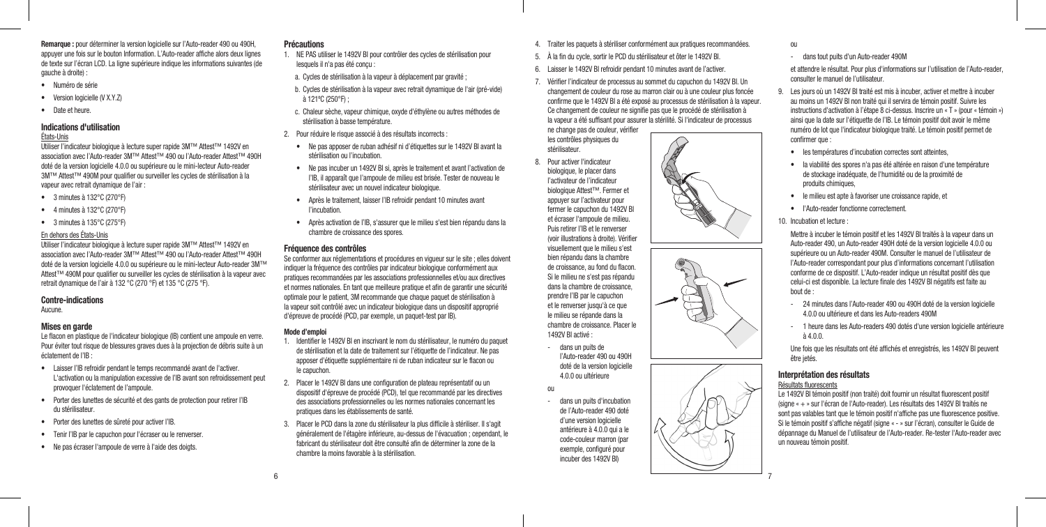Remarque : pour déterminer la version logicielle sur l'Auto-reader 490 ou 490H appuyer une fois sur le bouton Information. L'Auto-reader affiche alors deux lignes de texte sur l'écran LCD. La ligne supérieure indique les informations suivantes (de gauche à droite) :

- Numéro de série
- Version logicielle (V X.Y.Z)
- Date et heure.

## Indications d'utilisation

## États‑Unis

Utiliser l'indicateur biologique à lecture super rapide 3M™ Attest™ 1492V en association avec l'Auto-reader 3M™ Attest™ 490 ou l'Auto-reader Attest™ 490H doté de la version logicielle 4.0.0 ou supérieure ou le mini-lecteur Auto-reader 3M™ Attest™ 490M pour qualifier ou surveiller les cycles de stérilisation à la vapeur avec retrait dynamique de l'air :

- 3 minutes à 132°C (270°F)
- 4 minutes à 132°C (270°F)
- 3 minutes à 135°C (275°F)

## En dehors des États‑Unis

Utiliser l'indicateur biologique à lecture super rapide 3M™ Attest™ 1492V en association avec l'Auto-reader 3M™ Attest™ 490 ou l'Auto-reader Attest™ 490H doté de la version logicielle 4.0.0 ou supérieure ou le mini-lecteur Auto-reader 3M™ Attest™ 490M pour qualifier ou surveiller les cycles de stérilisation à la vapeur avec retrait dynamique de l'air à 132 °C (270 °F) et 135 °C (275 °F).

## Contre‑indications

Aucune.

## Mises en garde

Le flacon en plastique de l'indicateur biologique (IB) contient une ampoule en verre. Pour éviter tout risque de blessures graves dues à la projection de débris suite à un éclatement de l'IB :

- Laisser l'IB refroidir pendant le temps recommandé avant de l'activer. L'activation ou la manipulation excessive de l'IB avant son refroidissement peut provoquer l'éclatement de l'ampoule.
- Porter des lunettes de sécurité et des gants de protection pour retirer l'IB du stérilisateur.
- Porter des lunettes de sûreté pour activer l'IB.
- Tenir l'IB par le capuchon pour l'écraser ou le renverser.
- Ne pas écraser l'ampoule de verre à l'aide des doigts.

## **Précautions**

- 1. NE PAS utiliser le 1492V BI pour contrôler des cycles de stérilisation pour lesquels il n'a pas été conçu :
- a. Cycles de stérilisation à la vapeur à déplacement par gravité ;
- b. Cycles de stérilisation à la vapeur avec retrait dynamique de l'air (pré-vide) à 121ºC (250°F) ;
- c. Chaleur sèche, vapeur chimique, oxyde d'éthylène ou autres méthodes de stérilisation à basse température.
- 2. Pour réduire le risque associé à des résultats incorrects :
	- Ne pas apposer de ruban adhésif ni d'étiquettes sur le 1492V BI avant la stérilisation ou l'incubation.
	- Ne pas incuber un 1492V BI si, après le traitement et avant l'activation de l'IB, il apparaît que l'ampoule de milieu est brisée. Tester de nouveau le stérilisateur avec un nouvel indicateur biologique.
	- Après le traitement, laisser l'IB refroidir pendant 10 minutes avant l'incubation.
	- Après activation de l'IB, s'assurer que le milieu s'est bien répandu dans la chambre de croissance des spores.

## Fréquence des contrôles

Se conformer aux réglementations et procédures en vigueur sur le site ; elles doivent indiquer la fréquence des contrôles par indicateur biologique conformément aux pratiques recommandées par les associations professionnelles et/ou aux directives et normes nationales. En tant que meilleure pratique et afin de garantir une sécurité optimale pour le patient, 3M recommande que chaque paquet de stérilisation à la vapeur soit contrôlé avec un indicateur biologique dans un dispositif approprié d'épreuve de procédé (PCD, par exemple, un paquet-test par IB).

## Mode d'emploi

- 1. Identifier le 1492V BI en inscrivant le nom du stérilisateur, le numéro du paquet de stérilisation et la date de traitement sur l'étiquette de l'indicateur. Ne pas apposer d'étiquette supplémentaire ni de ruban indicateur sur le flacon ou le capuchon.
- 2. Placer le 1492V BI dans une configuration de plateau représentatif ou un dispositif d'épreuve de procédé (PCD), tel que recommandé par les directives des associations professionnelles ou les normes nationales concernant les pratiques dans les établissements de santé.
- 3. Placer le PCD dans la zone du stérilisateur la plus difficile à stériliser. Il s'agit généralement de l'étagère inférieure, au-dessus de l'évacuation ; cependant, le fabricant du stérilisateur doit être consulté afin de déterminer la zone de la chambre la moins favorable à la stérilisation.
- 4. Traiter les paquets à stériliser conformément aux pratiques recommandées.
- 5. À la fin du cycle, sortir le PCD du stérilisateur et ôter le 1492V BI.
- 6. Laisser le 1492V BI refroidir pendant 10 minutes avant de l'activer.
- 7. Vérifier l'indicateur de processus au sommet du capuchon du 1492V BI. Un changement de couleur du rose au marron clair ou à une couleur plus foncée confirme que le 1492V BI a été exposé au processus de stérilisation à la vapeur. Ce changement de couleur ne signifie pas que le procédé de stérilisation à la vapeur a été suffisant pour assurer la stérilité. Si l'indicateur de processus ne change pas de couleur, vérifier

les contrôles physiques du stérilisateur.

- 8. Pour activer l'indicateur biologique, le placer dans l'activateur de l'indicateur biologique Attest™. Fermer et appuyer sur l'activateur pour fermer le capuchon du 1492V BI et écraser l'ampoule de milieu. Puis retirer l'IB et le renverser (voir illustrations à droite). Vérifier visuellement que le milieu s'est bien répandu dans la chambre de croissance, au fond du flacon. Si le milieu ne s'est pas répandu dans la chambre de croissance, prendre l'IB par le capuchon et le renverser jusqu'à ce que le milieu se répande dans la chambre de croissance. Placer le 1492V BI activé :
	- dans un puits de l'Auto‑reader 490 ou 490H doté de la version logicielle 4.0.0 ou ultérieure

ou

- dans un puits d'incubation de l'Auto-reader 490 doté d'une version logicielle antérieure à 4.0.0 qui a le code-couleur marron (par exemple, configuré pour incuber des 1492V BI)



- dans tout puits d'un Auto-reader 490M

et attendre le résultat. Pour plus d'informations sur l'utilisation de l'Auto-reader, consulter le manuel de l'utilisateur.

- 9. Les jours où un 1492V BI traité est mis à incuber, activer et mettre à incuber au moins un 1492V BI non traité qui il servira de témoin positif. Suivre les instructions d'activation à l'étape 8 ci-dessus. Inscrire un « T » (pour « témoin ») ainsi que la date sur l'étiquette de l'IB. Le témoin positif doit avoir le même numéro de lot que l'indicateur biologique traité. Le témoin positif permet de confirmer que :
	- les températures d'incubation correctes sont atteintes,
	- la viabilité des spores n'a pas été altérée en raison d'une température de stockage inadéquate, de l'humidité ou de la proximité de produits chimiques,
	- le milieu est apte à favoriser une croissance rapide, et
	- l'Auto‑reader fonctionne correctement.
- 10. Incubation et lecture :

Mettre à incuber le témoin positif et les 1492V BI traités à la vapeur dans un Auto-reader 490, un Auto-reader 490H doté de la version logicielle 4.0.0 ou supérieure ou un Auto-reader 490M. Consulter le manuel de l'utilisateur de l'Auto-reader correspondant pour plus d'informations concernant l'utilisation conforme de ce dispositif. L'Auto-reader indique un résultat positif dès que celui-ci est disponible. La lecture finale des 1492V BI négatifs est faite au bout de :

- 24 minutes dans l'Auto-reader 490 ou 490H doté de la version logicielle 4.0.0 ou ultérieure et dans les Auto-readers 490M
- 1 heure dans les Auto-readers 490 dotés d'une version logicielle antérieure à 4.0.0.

Une fois que les résultats ont été affichés et enregistrés, les 1492V BI peuvent être jetés.

## Interprétation des résultats

## Résultats fluorescents

Le 1492V BI témoin positif (non traité) doit fournir un résultat fluorescent positif (signe « + » sur l'écran de l'Auto-reader). Les résultats des 1492V BI traités ne sont pas valables tant que le témoin positif n'affiche pas une fluorescence positive. Si le témoin positif s'affiche négatif (signe « - » sur l'écran), consulter le Guide de dépannage du Manuel de l'utilisateur de l'Auto-reader. Re-tester l'Auto-reader avec un nouveau témoin positif.



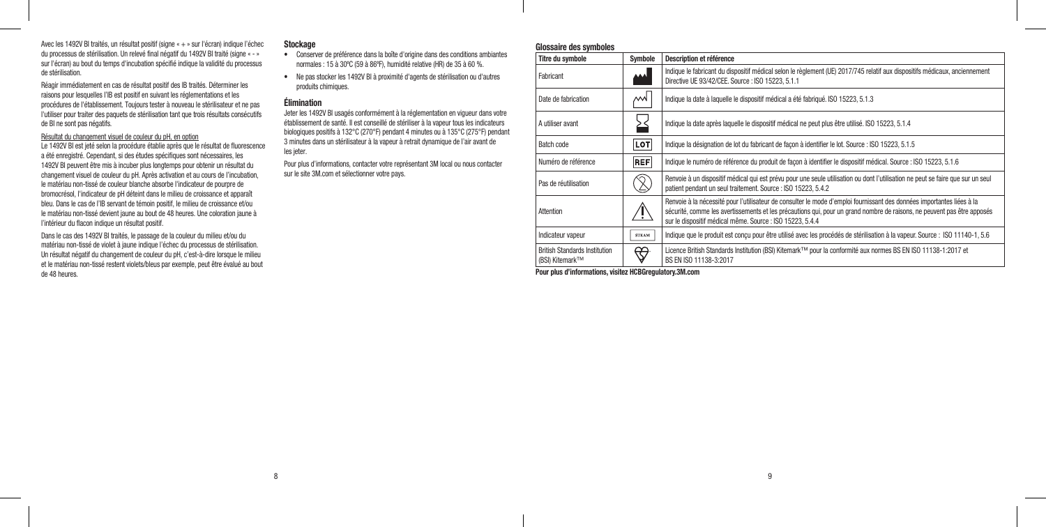Avec les 1492V BI traités, un résultat positif (signe « + » sur l'écran) indique l'échec du processus de stérilisation. Un relevé final négatif du 1492V BI traité (signe « - » sur l'écran) au bout du temps d'incubation spécifié indique la validité du processus de stérilisation.

Réagir immédiatement en cas de résultat positif des IB traités. Déterminer les raisons pour lesquelles l'IB est positif en suivant les réglementations et les procédures de l'établissement. Toujours tester à nouveau le stérilisateur et ne pas l'utiliser pour traiter des paquets de stérilisation tant que trois résultats consécutifs de BI ne sont pas négatifs.

Résultat du changement visuel de couleur du pH, en option

Le 1492V BI est jeté selon la procédure établie après que le résultat de fluorescence a été enregistré. Cependant, si des études spécifiques sont nécessaires, les 1492V BI peuvent être mis à incuber plus longtemps pour obtenir un résultat du changement visuel de couleur du pH. Après activation et au cours de l'incubation, le matériau non‑tissé de couleur blanche absorbe l'indicateur de pourpre de bromocrésol, l'indicateur de pH déteint dans le milieu de croissance et apparaît bleu. Dans le cas de l'IB servant de témoin positif, le milieu de croissance et/ou le matériau non-tissé devient jaune au bout de 48 heures. Une coloration jaune à l'intérieur du flacon indique un résultat positif.

Dans le cas des 1492V BI traités, le passage de la couleur du milieu et/ou du matériau non‑tissé de violet à jaune indique l'échec du processus de stérilisation. Un résultat négatif du changement de couleur du pH, c'est-à-dire lorsque le milieu et le matériau non‑tissé restent violets/bleus par exemple, peut être évalué au bout de 48 heures.

## **Stockage**

- Conserver de préférence dans la boîte d'origine dans des conditions ambiantes normales : 15 à 30ºC (59 à 86ºF), humidité relative (HR) de 35 à 60 %.
- Ne pas stocker les 1492V BI à proximité d'agents de stérilisation ou d'autres produits chimiques.

## Élimination

Jeter les 1492V BI usagés conformément à la réglementation en vigueur dans votre établissement de santé. Il est conseillé de stériliser à la vapeur tous les indicateurs biologiques positifs à 132°C (270°F) pendant 4 minutes ou à 135°C (275°F) pendant 3 minutes dans un stérilisateur à la vapeur à retrait dynamique de l'air avant de les jeter.

Pour plus d'informations, contacter votre représentant 3M local ou nous contacter sur le site 3M.com et sélectionner votre pays.

## Glossaire des symboles

| Titre du symbole                                        | Symbole      | Description et référence                                                                                                                                                                                                                                                                                       |
|---------------------------------------------------------|--------------|----------------------------------------------------------------------------------------------------------------------------------------------------------------------------------------------------------------------------------------------------------------------------------------------------------------|
| Fabricant                                               | المما        | Indique le fabricant du dispositif médical selon le règlement (UE) 2017/745 relatif aux dispositifs médicaux, anciennement<br>Directive UE 93/42/CEE. Source : ISO 15223, 5.1.1                                                                                                                                |
| Date de fabrication                                     | мW           | Indique la date à laquelle le dispositif médical a été fabriqué. ISO 15223, 5.1.3                                                                                                                                                                                                                              |
| A utiliser avant                                        |              | Indique la date après laquelle le dispositif médical ne peut plus être utilisé. ISO 15223, 5.1.4                                                                                                                                                                                                               |
| Batch code                                              | <b>LOT</b>   | Indique la désignation de lot du fabricant de façon à identifier le lot. Source : ISO 15223, 5.1.5                                                                                                                                                                                                             |
| Numéro de référence                                     | <b>REF</b>   | Indique le numéro de référence du produit de facon à identifier le dispositif médical. Source : ISO 15223, 5.1.6                                                                                                                                                                                               |
| Pas de réutilisation                                    |              | Renvoie à un dispositif médical qui est prévu pour une seule utilisation ou dont l'utilisation ne peut se faire que sur un seul<br>patient pendant un seul traitement. Source : ISO 15223, 5.4.2                                                                                                               |
| Attention                                               |              | Renvoie à la nécessité pour l'utilisateur de consulter le mode d'emploi fournissant des données importantes liées à la<br>sécurité, comme les avertissements et les précautions qui, pour un grand nombre de raisons, ne peuvent pas être apposés<br>sur le dispositif médical même. Source : ISO 15223, 5.4.4 |
| Indicateur vapeur                                       | <b>STEAM</b> | Indique que le produit est concu pour être utilisé avec les procédés de stérilisation à la vapeur. Source : ISO 11140-1, 5.6                                                                                                                                                                                   |
| <b>British Standards Institution</b><br>(BSI) Kitemark™ | ಱ            | Licence British Standards Institution (BSI) Kitemark™ pour la conformité aux normes BS EN ISO 11138-1:2017 et<br>BS EN ISO 11138-3:2017                                                                                                                                                                        |

Pour plus d'informations, visitez HCBGregulatory.3M.com